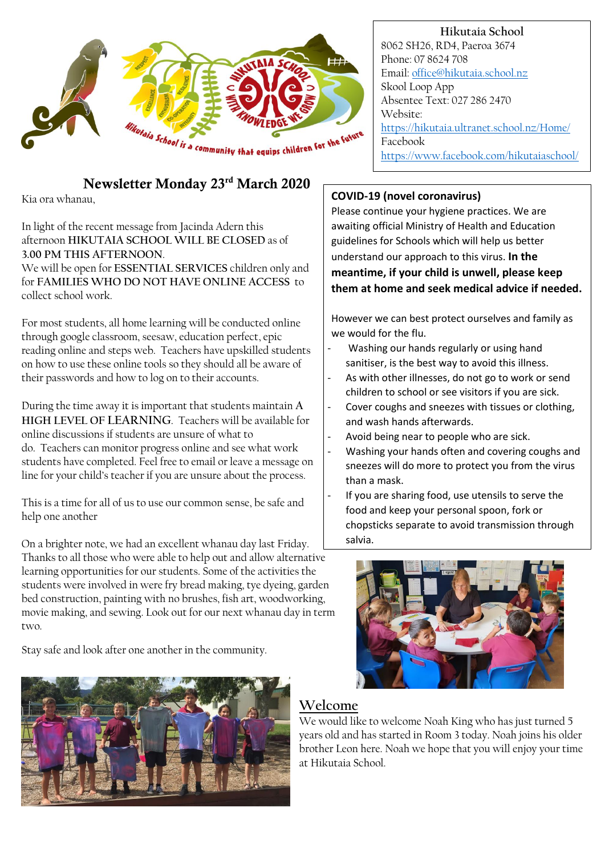

# Newsletter Monday 23rd March 2020

Kia ora whanau,

### In light of the recent message from Jacinda Adern this afternoon **HIKUTAIA SCHOOL WILL BE CLOSED** as of **3.00 PM THIS AFTERNOON**.

We will be open for **ESSENTIAL SERVICES** children only and for **FAMILIES WHO DO NOT HAVE ONLINE ACCESS** to collect school work.

For most students, all home learning will be conducted online through google classroom, seesaw, education perfect, epic reading online and steps web. Teachers have upskilled students on how to use these online tools so they should all be aware of their passwords and how to log on to their accounts.

During the time away it is important that students maintain **A HIGH LEVEL OF LEARNING**. Teachers will be available for online discussions if students are unsure of what to do. Teachers can monitor progress online and see what work students have completed. Feel free to email or leave a message on line for your child's teacher if you are unsure about the process.

This is a time for all of us to use our common sense, be safe and help one another

On a brighter note, we had an excellent whanau day last Friday. Thanks to all those who were able to help out and allow alternative learning opportunities for our students. Some of the activities the students were involved in were fry bread making, tye dyeing, garden bed construction, painting with no brushes, fish art, woodworking, movie making, and sewing. Look out for our next whanau day in term two.

Stay safe and look after one another in the community.



**Hikutaia School** 8062 SH26, RD4, Paeroa 3674 Phone: 07 8624 708 Email[: office@hikutaia.school.nz](mailto:office@hikutaia.school.nz) Skool Loop App Absentee Text: 027 286 2470 Website: <https://hikutaia.ultranet.school.nz/Home/> Facebook <https://www.facebook.com/hikutaiaschool/>

## **COVID-19 (novel coronavirus)**

Please continue your hygiene practices. We are awaiting official Ministry of Health and Education guidelines for Schools which will help us better understand our approach to this virus. **In the meantime, if your child is unwell, please keep them at home and seek medical advice if needed.**

However we can best protect ourselves and family as we would for the flu.

- Washing our hands regularly or using hand sanitiser, is the best way to avoid this illness.
- As with other illnesses, do not go to work or send children to school or see visitors if you are sick.
- Cover coughs and sneezes with tissues or clothing, and wash hands afterwards.
- Avoid being near to people who are sick.
- Washing your hands often and covering coughs and sneezes will do more to protect you from the virus than a mask.
- If you are sharing food, use utensils to serve the food and keep your personal spoon, fork or chopsticks separate to avoid transmission through salvia.



## **Welcome**

We would like to welcome Noah King who has just turned 5 years old and has started in Room 3 today. Noah joins his older brother Leon here. Noah we hope that you will enjoy your time at Hikutaia School.